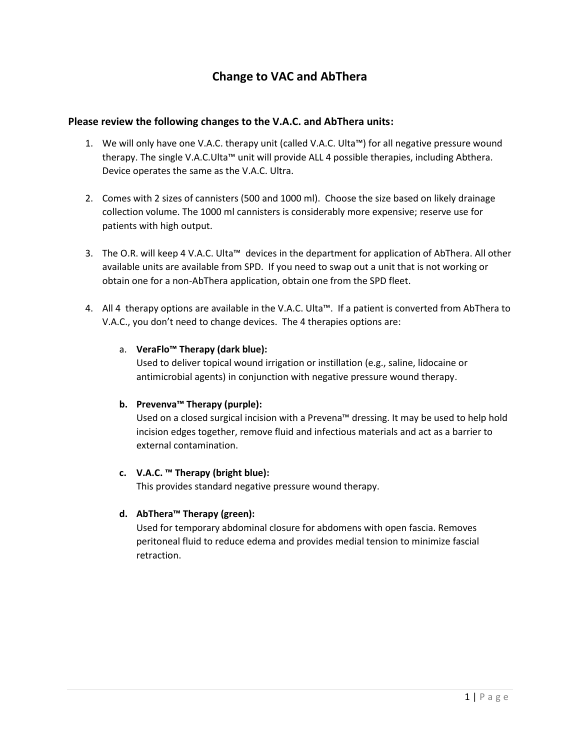# **Change to VAC and AbThera**

## **Please review the following changes to the V.A.C. and AbThera units:**

- 1. We will only have one V.A.C. therapy unit (called V.A.C. Ulta™) for all negative pressure wound therapy. The single V.A.C.Ulta™ unit will provide ALL 4 possible therapies, including Abthera. Device operates the same as the V.A.C. Ultra.
- 2. Comes with 2 sizes of cannisters (500 and 1000 ml). Choose the size based on likely drainage collection volume. The 1000 ml cannisters is considerably more expensive; reserve use for patients with high output.
- 3. The O.R. will keep 4 V.A.C. Ulta™ devices in the department for application of AbThera. All other available units are available from SPD. If you need to swap out a unit that is not working or obtain one for a non-AbThera application, obtain one from the SPD fleet.
- 4. All 4 therapy options are available in the V.A.C. Ulta™. If a patient is converted from AbThera to V.A.C., you don't need to change devices. The 4 therapies options are:

## a. **VeraFlo™ Therapy (dark blue):**

Used to deliver topical wound irrigation or instillation (e.g., saline, lidocaine or antimicrobial agents) in conjunction with negative pressure wound therapy.

#### **b. Prevenva™ Therapy (purple):**

Used on a closed surgical incision with a Prevena™ dressing. It may be used to help hold incision edges together, remove fluid and infectious materials and act as a barrier to external contamination.

#### **c. V.A.C. ™ Therapy (bright blue):**

This provides standard negative pressure wound therapy.

# **d. AbThera™ Therapy (green):**

Used for temporary abdominal closure for abdomens with open fascia. Removes peritoneal fluid to reduce edema and provides medial tension to minimize fascial retraction.